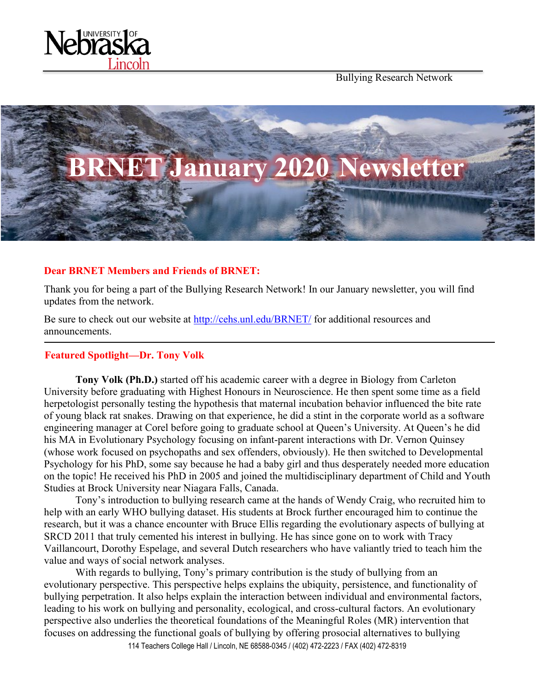

Bullying Research Network



### **Dear BRNET Members and Friends of BRNET:**

Thank you for being a part of the Bullying Research Network! In our January newsletter, you will find updates from the network.

Be sure to check out our website at<http://cehs.unl.edu/BRNET/> for additional resources and announcements.

# **Featured Spotlight—Dr. Tony Volk**

**Tony Volk (Ph.D.)** started off his academic career with a degree in Biology from Carleton University before graduating with Highest Honours in Neuroscience. He then spent some time as a field herpetologist personally testing the hypothesis that maternal incubation behavior influenced the bite rate of young black rat snakes. Drawing on that experience, he did a stint in the corporate world as a software engineering manager at Corel before going to graduate school at Queen's University. At Queen's he did his MA in Evolutionary Psychology focusing on infant-parent interactions with Dr. Vernon Quinsey (whose work focused on psychopaths and sex offenders, obviously). He then switched to Developmental Psychology for his PhD, some say because he had a baby girl and thus desperately needed more education on the topic! He received his PhD in 2005 and joined the multidisciplinary department of Child and Youth Studies at Brock University near Niagara Falls, Canada.

Tony's introduction to bullying research came at the hands of Wendy Craig, who recruited him to help with an early WHO bullying dataset. His students at Brock further encouraged him to continue the research, but it was a chance encounter with Bruce Ellis regarding the evolutionary aspects of bullying at SRCD 2011 that truly cemented his interest in bullying. He has since gone on to work with Tracy Vaillancourt, Dorothy Espelage, and several Dutch researchers who have valiantly tried to teach him the value and ways of social network analyses.

114 Teachers College Hall / Lincoln, NE 68588-0345 / (402) 472-2223 / FAX (402) 472-8319 With regards to bullying, Tony's primary contribution is the study of bullying from an evolutionary perspective. This perspective helps explains the ubiquity, persistence, and functionality of bullying perpetration. It also helps explain the interaction between individual and environmental factors, leading to his work on bullying and personality, ecological, and cross-cultural factors. An evolutionary perspective also underlies the theoretical foundations of the Meaningful Roles (MR) intervention that focuses on addressing the functional goals of bullying by offering prosocial alternatives to bullying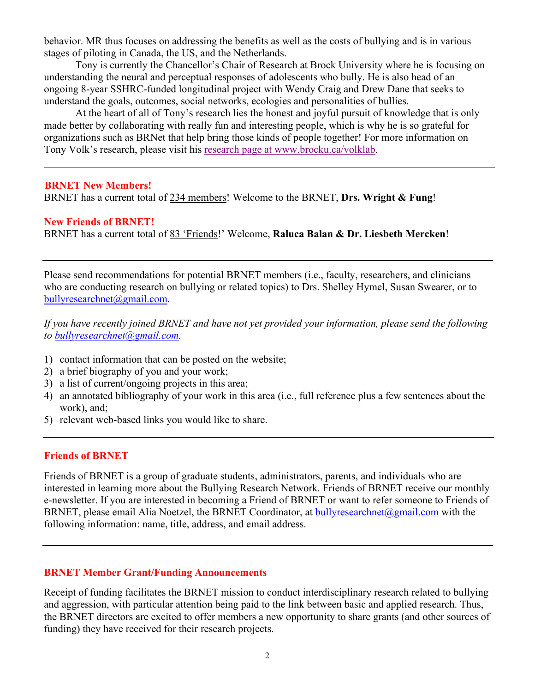behavior. MR thus focuses on addressing the benefits as well as the costs of bullying and is in various stages of piloting in Canada, the US, and the Netherlands.

Tony is currently the Chancellor's Chair of Research at Brock University where he is focusing on understanding the neural and perceptual responses of adolescents who bully. He is also head of an ongoing 8-year SSHRC-funded longitudinal project with Wendy Craig and Drew Dane that seeks to understand the goals, outcomes, social networks, ecologies and personalities of bullies.

At the heart of all of Tony's research lies the honest and joyful pursuit of knowledge that is only made better by collaborating with really fun and interesting people, which is why he is so grateful for organizations such as BRNet that help bring those kinds of people together! For more information on Tony Volk's research, please visit his [research page](https://brocku.ca/volk-developmental-science-lab/contact-us/) at www.brocku.ca/volklab.

#### **BRNET New Members!**

BRNET has a current total of 234 members! Welcome to the BRNET, **Drs. Wright & Fung**!

#### **New Friends of BRNET!**

BRNET has a current total of 83 'Friends!' Welcome, **Raluca Balan & Dr. Liesbeth Mercken**!

Please send recommendations for potential BRNET members (i.e., faculty, researchers, and clinicians who are conducting research on bullying or related topics) to Drs. Shelley Hymel, Susan Swearer, or to [bullyresearchnet@gmail.com.](mailto:bullyresearchnet@gmail.com)

*If you have recently joined BRNET and have not yet provided your information, please send the following to [bullyresearchnet@gmail.com.](mailto:bullyresearchnet@gmail.com)*

- 1) contact information that can be posted on the website;
- 2) a brief biography of you and your work;
- 3) a list of current/ongoing projects in this area;
- 4) an annotated bibliography of your work in this area (i.e., full reference plus a few sentences about the work), and;
- 5) relevant web-based links you would like to share.

### **Friends of BRNET**

Friends of BRNET is a group of graduate students, administrators, parents, and individuals who are interested in learning more about the Bullying Research Network. Friends of BRNET receive our monthly e-newsletter. If you are interested in becoming a Friend of BRNET or want to refer someone to Friends of BRNET, please email Alia Noetzel, the BRNET Coordinator, at [bullyresearchnet@gmail.com](mailto:bullyresearchnet@gmail.com) with the following information: name, title, address, and email address.

### **BRNET Member Grant/Funding Announcements**

Receipt of funding facilitates the BRNET mission to conduct interdisciplinary research related to bullying and aggression, with particular attention being paid to the link between basic and applied research. Thus, the BRNET directors are excited to offer members a new opportunity to share grants (and other sources of funding) they have received for their research projects.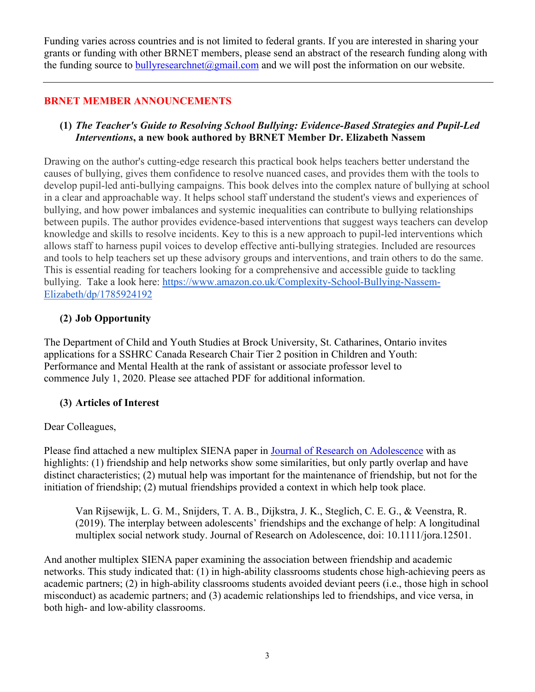Funding varies across countries and is not limited to federal grants. If you are interested in sharing your grants or funding with other BRNET members, please send an abstract of the research funding along with the funding source to [bullyresearchnet@gmail.com](mailto:bullyresearchnet@gmail.com) and we will post the information on our website.

### **BRNET MEMBER ANNOUNCEMENTS**

### **(1)** *The Teacher's Guide to Resolving School Bullying: Evidence-Based Strategies and Pupil-Led Interventions***, a new book authored by BRNET Member Dr. Elizabeth Nassem**

Drawing on the author's cutting-edge research this practical book helps teachers better understand the causes of bullying, gives them confidence to resolve nuanced cases, and provides them with the tools to develop pupil-led anti-bullying campaigns. This book delves into the complex nature of bullying at school in a clear and approachable way. It helps school staff understand the student's views and experiences of bullying, and how power imbalances and systemic inequalities can contribute to bullying relationships between pupils. The author provides evidence-based interventions that suggest ways teachers can develop knowledge and skills to resolve incidents. Key to this is a new approach to pupil-led interventions which allows staff to harness pupil voices to develop effective anti-bullying strategies. Included are resources and tools to help teachers set up these advisory groups and interventions, and train others to do the same. This is essential reading for teachers looking for a comprehensive and accessible guide to tackling bullying. Take a look here: [https://www.amazon.co.uk/Complexity-School-Bullying-Nassem-](https://www.amazon.co.uk/Complexity-School-Bullying-Nassem-Elizabeth/dp/1785924192)[Elizabeth/dp/1785924192](https://www.amazon.co.uk/Complexity-School-Bullying-Nassem-Elizabeth/dp/1785924192)

# **(2) Job Opportunity**

The Department of Child and Youth Studies at Brock University, St. Catharines, Ontario invites applications for a SSHRC Canada Research Chair Tier 2 position in Children and Youth: Performance and Mental Health at the rank of assistant or associate professor level to commence July 1, 2020. Please see attached PDF for additional information.

### **(3) Articles of Interest**

### Dear Colleagues,

Please find attached a new multiplex SIENA paper in [Journal of Research on Adolescence](https://urldefense.proofpoint.com/v2/url?u=https-3A__onlinelibrary.wiley.com_doi_full_10.1111_jora.12501&d=DwMDaQ&c=Cu5g146wZdoqVuKpTNsYHeFX_rg6kWhlkLF8Eft-wwo&r=pWic30ayAUnLgVZ5-oscRywEhLuq0OrRNorCTMj4dgo&m=DJqYMSpmB1THjQZpjfp2GdfQPOeopXDQ_LKne1MTRxY&s=6iBG7tYGOsKWLeJ6vA8tjKJGawIO_c2HhnlLgqTivIM&e=) with as highlights: (1) friendship and help networks show some similarities, but only partly overlap and have distinct characteristics; (2) mutual help was important for the maintenance of friendship, but not for the initiation of friendship; (2) mutual friendships provided a context in which help took place.

Van Rijsewijk, L. G. M., Snijders, T. A. B., Dijkstra, J. K., Steglich, C. E. G., & Veenstra, R. (2019). The interplay between adolescents' friendships and the exchange of help: A longitudinal multiplex social network study. Journal of Research on Adolescence, doi: 10.1111/jora.12501.

And another multiplex SIENA paper examining the association between friendship and academic networks. This study indicated that: (1) in high-ability classrooms students chose high-achieving peers as academic partners; (2) in high-ability classrooms students avoided deviant peers (i.e., those high in school misconduct) as academic partners; and (3) academic relationships led to friendships, and vice versa, in both high- and low-ability classrooms.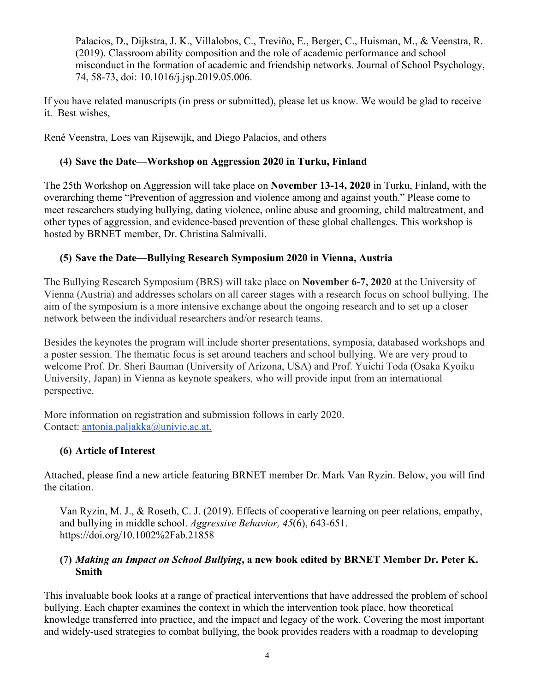Palacios, D., Dijkstra, J. K., Villalobos, C., Treviño, E., Berger, C., Huisman, M., & Veenstra, R. (2019). Classroom ability composition and the role of academic performance and school misconduct in the formation of academic and friendship networks. Journal of School Psychology, 74, 58-73, doi: 10.1016/j.jsp.2019.05.006.

If you have related manuscripts (in press or submitted), please let us know. We would be glad to receive it. Best wishes,

René Veenstra, Loes van Rijsewijk, and Diego Palacios, and others

# **(4) Save the Date—Workshop on Aggression 2020 in Turku, Finland**

The 25th Workshop on Aggression will take place on **November 13-14, 2020** in Turku, Finland, with the overarching theme "Prevention of aggression and violence among and against youth." Please come to meet researchers studying bullying, dating violence, online abuse and grooming, child maltreatment, and other types of aggression, and evidence-based prevention of these global challenges. This workshop is hosted by BRNET member, Dr. Christina Salmivalli.

# **(5) Save the Date—Bullying Research Symposium 2020 in Vienna, Austria**

The Bullying Research Symposium (BRS) will take place on **November 6-7, 2020** at the University of Vienna (Austria) and addresses scholars on all career stages with a research focus on school bullying. The aim of the symposium is a more intensive exchange about the ongoing research and to set up a closer network between the individual researchers and/or research teams.

Besides the keynotes the program will include shorter presentations, symposia, databased workshops and a poster session. The thematic focus is set around teachers and school bullying. We are very proud to welcome Prof. Dr. Sheri Bauman (University of Arizona, USA) and Prof. Yuichi Toda (Osaka Kyoiku University, Japan) in Vienna as keynote speakers, who will provide input from an international perspective.

More information on registration and submission follows in early 2020. Contact: [antonia.paljakka@univie.ac.at.](mailto:antonia.paljakka@univie.ac.at)

# **(6) Article of Interest**

Attached, please find a new article featuring BRNET member Dr. Mark Van Ryzin. Below, you will find the citation.

Van Ryzin, M. J., & Roseth, C. J. (2019). Effects of cooperative learning on peer relations, empathy, and bullying in middle school. *Aggressive Behavior, 45*(6), 643-651. https://doi.org/10.1002%2Fab.21858

### **(7)** *Making an Impact on School Bullying***, a new book edited by BRNET Member Dr. Peter K. Smith**

This invaluable book looks at a range of practical interventions that have addressed the problem of school bullying. Each chapter examines the context in which the intervention took place, how theoretical knowledge transferred into practice, and the impact and legacy of the work. Covering the most important and widely-used strategies to combat bullying, the book provides readers with a roadmap to developing